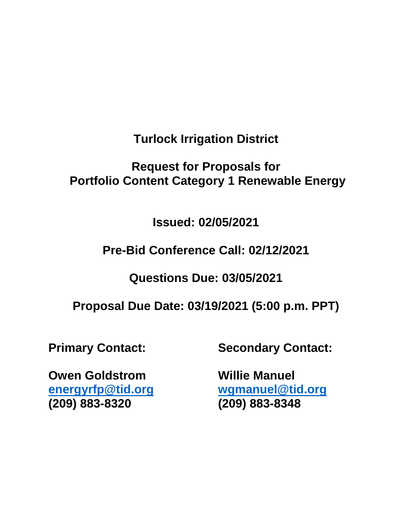**Turlock Irrigation District** 

# **Request for Proposals for Portfolio Content Category 1 Renewable Energy**

**Issued: 02/05/2021** 

**Pre-Bid Conference Call: 02/12/2021** 

**Questions Due: 03/05/2021** 

**Proposal Due Date: 03/19/2021 (5:00 p.m. PPT)** 

**Primary Contact:** 

**Secondary Contact:** 

**Owen Goldstrom [energyrfp@tid.org](mailto:energyrfp@tid.org) (209) 883-8320** 

**Willie Manuel [wgmanuel@tid.org](mailto:wgmanuel@tid.org) (209) 883-8348**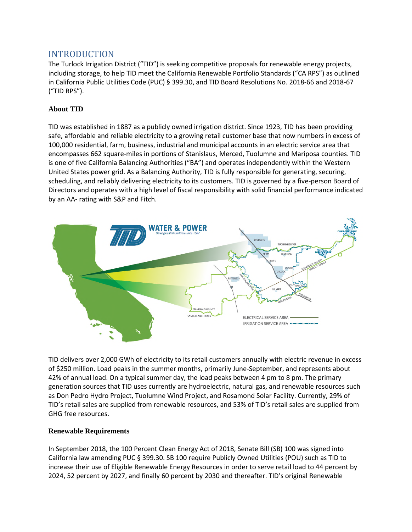### INTRODUCTION

The Turlock Irrigation District ("TID") is seeking competitive proposals for renewable energy projects, including storage, to help TID meet the California Renewable Portfolio Standards ("CA RPS") as outlined in California Public Utilities Code (PUC) § 399.30, and TID Board Resolutions No. 2018-66 and 2018-67 ("TID RPS").

#### **About TID**

TID was established in 1887 as a publicly owned irrigation district. Since 1923, TID has been providing safe, affordable and reliable electricity to a growing retail customer base that now numbers in excess of 100,000 residential, farm, business, industrial and municipal accounts in an electric service area that encompasses 662 square-miles in portions of Stanislaus, Merced, Tuolumne and Mariposa counties. TID is one of five California Balancing Authorities ("BA") and operates independently within the Western United States power grid. As a Balancing Authority, TID is fully responsible for generating, securing, scheduling, and reliably delivering electricity to its customers. TID is governed by a five-person Board of Directors and operates with a high level of fiscal responsibility with solid financial performance indicated by an AA- rating with S&P and Fitch.



TID delivers over 2,000 GWh of electricity to its retail customers annually with electric revenue in excess of \$250 million. Load peaks in the summer months, primarily June-September, and represents about 42% of annual load. On a typical summer day, the load peaks between 4 pm to 8 pm. The primary generation sources that TID uses currently are hydroelectric, natural gas, and renewable resources such as Don Pedro Hydro Project, Tuolumne Wind Project, and Rosamond Solar Facility. Currently, 29% of TID's retail sales are supplied from renewable resources, and 53% of TID's retail sales are supplied from GHG free resources.

#### **Renewable Requirements**

In September 2018, the 100 Percent Clean Energy Act of 2018, Senate Bill (SB) 100 was signed into California law amending PUC § 399.30. SB 100 require Publicly Owned Utilities (POU) such as TID to increase their use of Eligible Renewable Energy Resources in order to serve retail load to 44 percent by 2024, 52 percent by 2027, and finally 60 percent by 2030 and thereafter. TID's original Renewable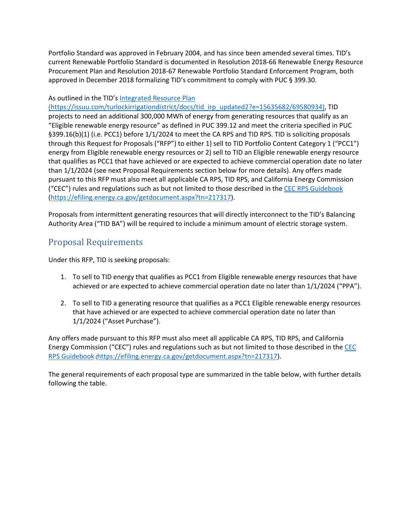Portfolio Standard was approved in February 2004, and has since been amended several times. TID's current Renewable Portfolio Standard is documented in Resolution 2018-66 Renewable Energy Resource Procurement Plan and Resolution 2018-67 Renewable Portfolio Standard Enforcement Program, both approved in December 2018 formalizing TID's commitment to comply with PUC § 399.30.

#### As outlined in the TID'[s Integrated Resource Plan](https://issuu.com/turlockirrigationdistrict/docs/tid_irp_updated2?e=15635682/69580934)

(https://issuu.com/turlockirrigationdistrict/docs/tid\_irp\_updated2?e=15635682/69580934), TID projects to need an additional 300,000 MWh of energy from generating resources that qualify as an "Eligible renewable energy resource" as defined in PUC 399.12 and meet the criteria specified in PUC §399.16(b)(1) (i.e. PCC1) before 1/1/2024 to meet the CA RPS and TID RPS. TID is soliciting proposals through this Request for Proposals ("RFP") to either 1) sell to TID Portfolio Content Category 1 ("PCC1") energy from Eligible renewable energy resources or 2) sell to TID an Eligible renewable energy resource that qualifies as PCC1 that have achieved or are expected to achieve commercial operation date no later than 1/1/2024 (see next Proposal Requirements section below for more details). Any offers made pursuant to this RFP must also meet all applicable CA RPS, TID RPS, and California Energy Commission ("CEC") rules and regulations such as but not limited to those described in the [CEC RPS Guidebook](https://efiling.energy.ca.gov/getdocument.aspx?tn=217317) [\(https://efiling.energy.ca.gov/getdocument.aspx?tn=217317\)](https://efiling.energy.ca.gov/getdocument.aspx?tn=217317).

Proposals from intermittent generating resources that will directly interconnect to the TID's Balancing Authority Area ("TID BA") will be required to include a minimum amount of electric storage system.

### Proposal Requirements

Under this RFP, TID is seeking proposals:

- 1. To sell to TID energy that qualifies as PCC1 from Eligible renewable energy resources that have achieved or are expected to achieve commercial operation date no later than 1/1/2024 ("PPA").
- 2. To sell to TID a generating resource that qualifies as a PCC1 Eligible renewable energy resources that have achieved or are expected to achieve commercial operation date no later than 1/1/2024 ("Asset Purchase").

Any offers made pursuant to this RFP must also meet all applicable CA RPS, TID RPS, and California Energy Commission ("CEC") rules and regulations such as but not limited to those described in the [CEC](https://efiling.energy.ca.gov/getdocument.aspx?tn=217317)  [RPS Guidebook](https://efiling.energy.ca.gov/getdocument.aspx?tn=217317) ([https://efiling.energy.ca.gov/getdocument.aspx?tn=217317\)](https://efiling.energy.ca.gov/getdocument.aspx?tn=217317).

The general requirements of each proposal type are summarized in the table below, with further details following the table.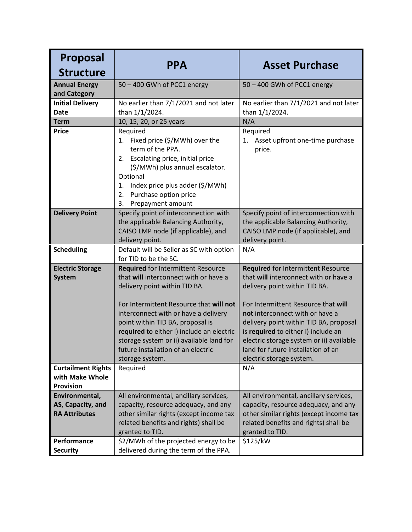| <b>Proposal</b>                                                  |                                                                                                                                                                                                                                                                       |                                                                                                                                                                                                                                                                       |
|------------------------------------------------------------------|-----------------------------------------------------------------------------------------------------------------------------------------------------------------------------------------------------------------------------------------------------------------------|-----------------------------------------------------------------------------------------------------------------------------------------------------------------------------------------------------------------------------------------------------------------------|
| <b>Structure</b>                                                 | <b>PPA</b>                                                                                                                                                                                                                                                            | <b>Asset Purchase</b>                                                                                                                                                                                                                                                 |
| <b>Annual Energy</b><br>and Category                             | 50 - 400 GWh of PCC1 energy                                                                                                                                                                                                                                           | 50 - 400 GWh of PCC1 energy                                                                                                                                                                                                                                           |
| <b>Initial Delivery</b><br><b>Date</b>                           | No earlier than 7/1/2021 and not later<br>than 1/1/2024.                                                                                                                                                                                                              | No earlier than 7/1/2021 and not later<br>than 1/1/2024.                                                                                                                                                                                                              |
| <b>Term</b>                                                      | 10, 15, 20, or 25 years                                                                                                                                                                                                                                               | N/A                                                                                                                                                                                                                                                                   |
| <b>Price</b>                                                     | Required<br>1. Fixed price (\$/MWh) over the<br>term of the PPA.<br>Escalating price, initial price<br>2.<br>(\$/MWh) plus annual escalator.<br>Optional<br>Index price plus adder (\$/MWh)<br>1.                                                                     | Required<br>1. Asset upfront one-time purchase<br>price.                                                                                                                                                                                                              |
|                                                                  | Purchase option price<br>2.<br>3.<br>Prepayment amount                                                                                                                                                                                                                |                                                                                                                                                                                                                                                                       |
| <b>Delivery Point</b>                                            | Specify point of interconnection with<br>the applicable Balancing Authority,<br>CAISO LMP node (if applicable), and<br>delivery point.                                                                                                                                | Specify point of interconnection with<br>the applicable Balancing Authority,<br>CAISO LMP node (if applicable), and<br>delivery point.                                                                                                                                |
| <b>Scheduling</b>                                                | Default will be Seller as SC with option<br>for TID to be the SC.                                                                                                                                                                                                     | N/A                                                                                                                                                                                                                                                                   |
| <b>Electric Storage</b><br><b>System</b>                         | Required for Intermittent Resource<br>that will interconnect with or have a<br>delivery point within TID BA.                                                                                                                                                          | <b>Required for Intermittent Resource</b><br>that will interconnect with or have a<br>delivery point within TID BA.                                                                                                                                                   |
|                                                                  | For Intermittent Resource that will not<br>interconnect with or have a delivery<br>point within TID BA, proposal is<br>required to either i) include an electric<br>storage system or ii) available land for<br>future installation of an electric<br>storage system. | For Intermittent Resource that will<br>not interconnect with or have a<br>delivery point within TID BA, proposal<br>is required to either i) include an<br>electric storage system or ii) available<br>land for future installation of an<br>electric storage system. |
| <b>Curtailment Rights</b><br>with Make Whole<br><b>Provision</b> | Required                                                                                                                                                                                                                                                              | N/A                                                                                                                                                                                                                                                                   |
| Environmental,<br>AS, Capacity, and<br><b>RA Attributes</b>      | All environmental, ancillary services,<br>capacity, resource adequacy, and any<br>other similar rights (except income tax<br>related benefits and rights) shall be<br>granted to TID.                                                                                 | All environmental, ancillary services,<br>capacity, resource adequacy, and any<br>other similar rights (except income tax<br>related benefits and rights) shall be<br>granted to TID.                                                                                 |
| Performance<br><b>Security</b>                                   | \$2/MWh of the projected energy to be<br>delivered during the term of the PPA.                                                                                                                                                                                        | \$125/kW                                                                                                                                                                                                                                                              |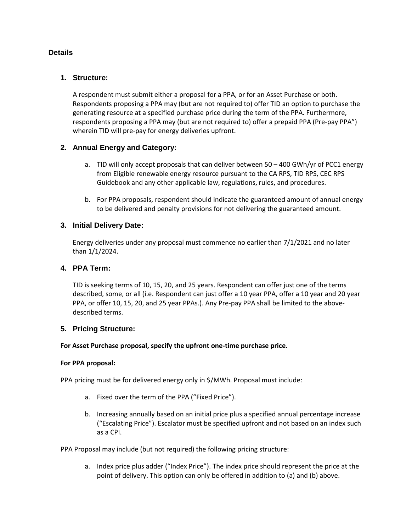#### **Details**

#### **1. Structure:**

A respondent must submit either a proposal for a PPA, or for an Asset Purchase or both. Respondents proposing a PPA may (but are not required to) offer TID an option to purchase the generating resource at a specified purchase price during the term of the PPA. Furthermore, respondents proposing a PPA may (but are not required to) offer a prepaid PPA (Pre-pay PPA") wherein TID will pre-pay for energy deliveries upfront.

#### **2. Annual Energy and Category:**

- a. TID will only accept proposals that can deliver between 50 400 GWh/yr of PCC1 energy from Eligible renewable energy resource pursuant to the CA RPS, TID RPS, CEC RPS Guidebook and any other applicable law, regulations, rules, and procedures.
- b. For PPA proposals, respondent should indicate the guaranteed amount of annual energy to be delivered and penalty provisions for not delivering the guaranteed amount.

#### **3. Initial Delivery Date:**

Energy deliveries under any proposal must commence no earlier than 7/1/2021 and no later than 1/1/2024.

#### **4. PPA Term:**

TID is seeking terms of 10, 15, 20, and 25 years. Respondent can offer just one of the terms described, some, or all (i.e. Respondent can just offer a 10 year PPA, offer a 10 year and 20 year PPA, or offer 10, 15, 20, and 25 year PPAs.). Any Pre-pay PPA shall be limited to the abovedescribed terms.

#### **5. Pricing Structure:**

#### **For Asset Purchase proposal, specify the upfront one-time purchase price.**

#### **For PPA proposal:**

PPA pricing must be for delivered energy only in \$/MWh. Proposal must include:

- a. Fixed over the term of the PPA ("Fixed Price").
- b. Increasing annually based on an initial price plus a specified annual percentage increase ("Escalating Price"). Escalator must be specified upfront and not based on an index such as a CPI.

PPA Proposal may include (but not required) the following pricing structure:

a. Index price plus adder ("Index Price"). The index price should represent the price at the point of delivery. This option can only be offered in addition to (a) and (b) above.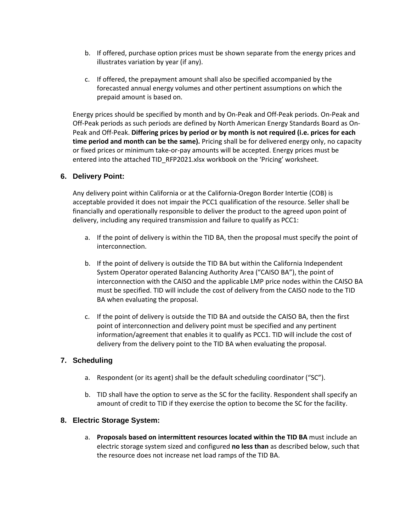- b. If offered, purchase option prices must be shown separate from the energy prices and illustrates variation by year (if any).
- c. If offered, the prepayment amount shall also be specified accompanied by the forecasted annual energy volumes and other pertinent assumptions on which the prepaid amount is based on.

Energy prices should be specified by month and by On-Peak and Off-Peak periods. On-Peak and Off-Peak periods as such periods are defined by North American Energy Standards Board as On-Peak and Off-Peak. **Differing prices by period or by month is not required (i.e. prices for each time period and month can be the same).** Pricing shall be for delivered energy only, no capacity or fixed prices or minimum take-or-pay amounts will be accepted. Energy prices must be entered into the attached TID\_RFP2021.xlsx workbook on the 'Pricing' worksheet.

#### **6. Delivery Point:**

Any delivery point within California or at the California-Oregon Border Intertie (COB) is acceptable provided it does not impair the PCC1 qualification of the resource. Seller shall be financially and operationally responsible to deliver the product to the agreed upon point of delivery, including any required transmission and failure to qualify as PCC1:

- a. If the point of delivery is within the TID BA, then the proposal must specify the point of interconnection.
- b. If the point of delivery is outside the TID BA but within the California Independent System Operator operated Balancing Authority Area ("CAISO BA"), the point of interconnection with the CAISO and the applicable LMP price nodes within the CAISO BA must be specified. TID will include the cost of delivery from the CAISO node to the TID BA when evaluating the proposal.
- c. If the point of delivery is outside the TID BA and outside the CAISO BA, then the first point of interconnection and delivery point must be specified and any pertinent information/agreement that enables it to qualify as PCC1. TID will include the cost of delivery from the delivery point to the TID BA when evaluating the proposal.

#### **7. Scheduling**

- a. Respondent (or its agent) shall be the default scheduling coordinator ("SC").
- b. TID shall have the option to serve as the SC for the facility. Respondent shall specify an amount of credit to TID if they exercise the option to become the SC for the facility.

#### **8. Electric Storage System:**

a. **Proposals based on intermittent resources located within the TID BA** must include an electric storage system sized and configured **no less than** as described below, such that the resource does not increase net load ramps of the TID BA.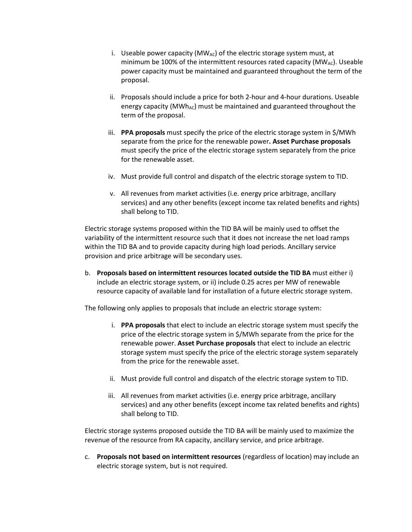- i. Useable power capacity ( $MW_{AC}$ ) of the electric storage system must, at minimum be 100% of the intermittent resources rated capacity  $(MW_{AC})$ . Useable power capacity must be maintained and guaranteed throughout the term of the proposal.
- ii. Proposals should include a price for both 2-hour and 4-hour durations. Useable energy capacity ( $MWh_{AC}$ ) must be maintained and guaranteed throughout the term of the proposal.
- iii. **PPA proposals** must specify the price of the electric storage system in \$/MWh separate from the price for the renewable power**. Asset Purchase proposals**  must specify the price of the electric storage system separately from the price for the renewable asset.
- iv. Must provide full control and dispatch of the electric storage system to TID.
- v. All revenues from market activities (i.e. energy price arbitrage, ancillary services) and any other benefits (except income tax related benefits and rights) shall belong to TID.

Electric storage systems proposed within the TID BA will be mainly used to offset the variability of the intermittent resource such that it does not increase the net load ramps within the TID BA and to provide capacity during high load periods. Ancillary service provision and price arbitrage will be secondary uses.

b. **Proposals based on intermittent resources located outside the TID BA** must either i) include an electric storage system, or ii) include 0.25 acres per MW of renewable resource capacity of available land for installation of a future electric storage system.

The following only applies to proposals that include an electric storage system:

- i. **PPA proposals** that elect to include an electric storage system must specify the price of the electric storage system in \$/MWh separate from the price for the renewable power. **Asset Purchase proposals** that elect to include an electric storage system must specify the price of the electric storage system separately from the price for the renewable asset.
- ii. Must provide full control and dispatch of the electric storage system to TID.
- iii. All revenues from market activities (i.e. energy price arbitrage, ancillary services) and any other benefits (except income tax related benefits and rights) shall belong to TID.

Electric storage systems proposed outside the TID BA will be mainly used to maximize the revenue of the resource from RA capacity, ancillary service, and price arbitrage.

c. **Proposals not based on intermittent resources** (regardless of location) may include an electric storage system, but is not required.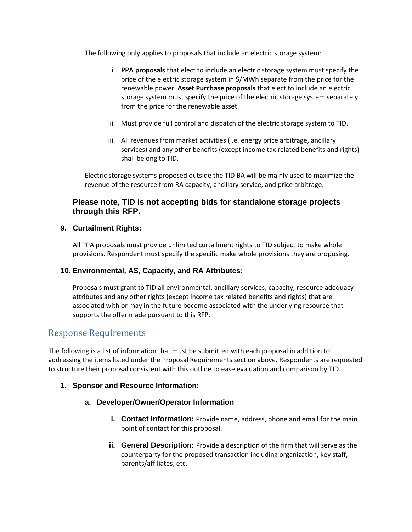The following only applies to proposals that include an electric storage system:

- i. **PPA proposals** that elect to include an electric storage system must specify the price of the electric storage system in \$/MWh separate from the price for the renewable power. **Asset Purchase proposals** that elect to include an electric storage system must specify the price of the electric storage system separately from the price for the renewable asset.
- ii. Must provide full control and dispatch of the electric storage system to TID.
- iii. All revenues from market activities (i.e. energy price arbitrage, ancillary services) and any other benefits (except income tax related benefits and rights) shall belong to TID.

Electric storage systems proposed outside the TID BA will be mainly used to maximize the revenue of the resource from RA capacity, ancillary service, and price arbitrage.

#### **Please note, TID is not accepting bids for standalone storage projects through this RFP.**

#### **9. Curtailment Rights:**

All PPA proposals must provide unlimited curtailment rights to TID subject to make whole provisions. Respondent must specify the specific make whole provisions they are proposing.

#### **10. Environmental, AS, Capacity, and RA Attributes:**

Proposals must grant to TID all environmental, ancillary services, capacity, resource adequacy attributes and any other rights (except income tax related benefits and rights) that are associated with or may in the future become associated with the underlying resource that supports the offer made pursuant to this RFP.

#### Response Requirements

The following is a list of information that must be submitted with each proposal in addition to addressing the items listed under the Proposal Requirements section above. Respondents are requested to structure their proposal consistent with this outline to ease evaluation and comparison by TID.

#### **1. Sponsor and Resource Information:**

#### **a. Developer/Owner/Operator Information**

- **i.** Contact Information: Provide name, address, phone and email for the main point of contact for this proposal.
- **ii. General Description:** Provide a description of the firm that will serve as the counterparty for the proposed transaction including organization, key staff, parents/affiliates, etc.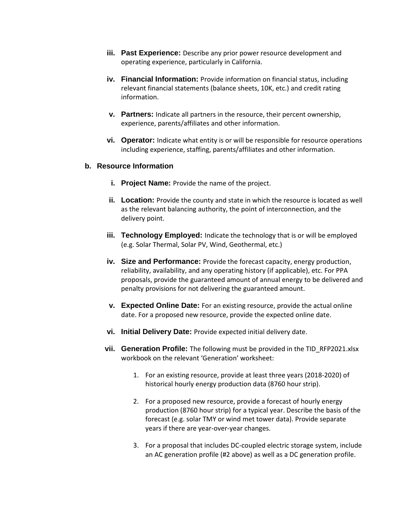- **iii. Past Experience:** Describe any prior power resource development and operating experience, particularly in California.
- **iv. Financial Information:** Provide information on financial status, including relevant financial statements (balance sheets, 10K, etc.) and credit rating information.
- **v. Partners:** Indicate all partners in the resource, their percent ownership, experience, parents/affiliates and other information.
- **vi. Operator:** Indicate what entity is or will be responsible for resource operations including experience, staffing, parents/affiliates and other information.

#### **b. Resource Information**

- **i.** Project Name: Provide the name of the project.
- **ii.** Location: Provide the county and state in which the resource is located as well as the relevant balancing authority, the point of interconnection, and the delivery point.
- **iii. Technology Employed:** Indicate the technology that is or will be employed (e.g. Solar Thermal, Solar PV, Wind, Geothermal, etc.)
- **iv. Size and Performance:** Provide the forecast capacity, energy production, reliability, availability, and any operating history (if applicable), etc. For PPA proposals, provide the guaranteed amount of annual energy to be delivered and penalty provisions for not delivering the guaranteed amount.
- **v. Expected Online Date:** For an existing resource, provide the actual online date. For a proposed new resource, provide the expected online date.
- **vi. Initial Delivery Date:** Provide expected initial delivery date.
- **vii. Generation Profile:** The following must be provided in the TID RFP2021.xlsx workbook on the relevant 'Generation' worksheet:
	- 1. For an existing resource, provide at least three years (2018-2020) of historical hourly energy production data (8760 hour strip).
	- 2. For a proposed new resource, provide a forecast of hourly energy production (8760 hour strip) for a typical year. Describe the basis of the forecast (e.g. solar TMY or wind met tower data). Provide separate years if there are year-over-year changes.
	- 3. For a proposal that includes DC-coupled electric storage system, include an AC generation profile (#2 above) as well as a DC generation profile.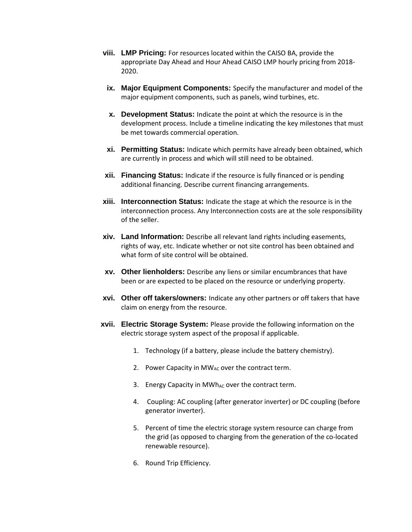- **viii. LMP Pricing:** For resources located within the CAISO BA, provide the appropriate Day Ahead and Hour Ahead CAISO LMP hourly pricing from 2018- 2020.
- **ix. Major Equipment Components:** Specify the manufacturer and model of the major equipment components, such as panels, wind turbines, etc.
- **x. Development Status:** Indicate the point at which the resource is in the development process. Include a timeline indicating the key milestones that must be met towards commercial operation.
- **xi. Permitting Status:** Indicate which permits have already been obtained, which are currently in process and which will still need to be obtained.
- **xii. Financing Status:** Indicate if the resource is fully financed or is pending additional financing. Describe current financing arrangements.
- **xiii. Interconnection Status:** Indicate the stage at which the resource is in the interconnection process. Any Interconnection costs are at the sole responsibility of the seller.
- **xiv. Land Information:** Describe all relevant land rights including easements, rights of way, etc. Indicate whether or not site control has been obtained and what form of site control will be obtained.
- **xv. Other lienholders:** Describe any liens or similar encumbrances that have been or are expected to be placed on the resource or underlying property.
- **xvi. Other off takers/owners:** Indicate any other partners or off takers that have claim on energy from the resource.
- **xvii. Electric Storage System:** Please provide the following information on the electric storage system aspect of the proposal if applicable.
	- 1. Technology (if a battery, please include the battery chemistry).
	- 2. Power Capacity in  $MW_{AC}$  over the contract term.
	- 3. Energy Capacity in MWh<sub>AC</sub> over the contract term.
	- 4. Coupling: AC coupling (after generator inverter) or DC coupling (before generator inverter).
	- 5. Percent of time the electric storage system resource can charge from the grid (as opposed to charging from the generation of the co-located renewable resource).
	- 6. Round Trip Efficiency.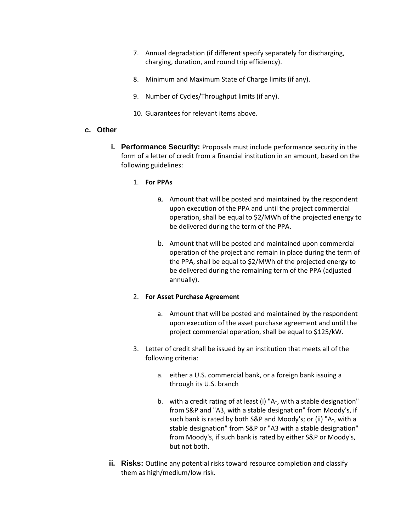- 7. Annual degradation (if different specify separately for discharging, charging, duration, and round trip efficiency).
- 8. Minimum and Maximum State of Charge limits (if any).
- 9. Number of Cycles/Throughput limits (if any).
- 10. Guarantees for relevant items above.

#### **c. Other**

**i. Performance Security:** Proposals must include performance security in the form of a letter of credit from a financial institution in an amount, based on the following guidelines:

#### 1. **For PPAs**

- a. Amount that will be posted and maintained by the respondent upon execution of the PPA and until the project commercial operation, shall be equal to \$2/MWh of the projected energy to be delivered during the term of the PPA.
- b. Amount that will be posted and maintained upon commercial operation of the project and remain in place during the term of the PPA, shall be equal to \$2/MWh of the projected energy to be delivered during the remaining term of the PPA (adjusted annually).

#### 2. **For Asset Purchase Agreement**

- a. Amount that will be posted and maintained by the respondent upon execution of the asset purchase agreement and until the project commercial operation, shall be equal to \$125/kW.
- 3. Letter of credit shall be issued by an institution that meets all of the following criteria:
	- a. either a U.S. commercial bank, or a foreign bank issuing a through its U.S. branch
	- b. with a credit rating of at least (i) "A-, with a stable designation" from S&P and "A3, with a stable designation" from Moody's, if such bank is rated by both S&P and Moody's; or (ii) "A-, with a stable designation" from S&P or "A3 with a stable designation" from Moody's, if such bank is rated by either S&P or Moody's, but not both.
- **ii.** Risks: Outline any potential risks toward resource completion and classify them as high/medium/low risk.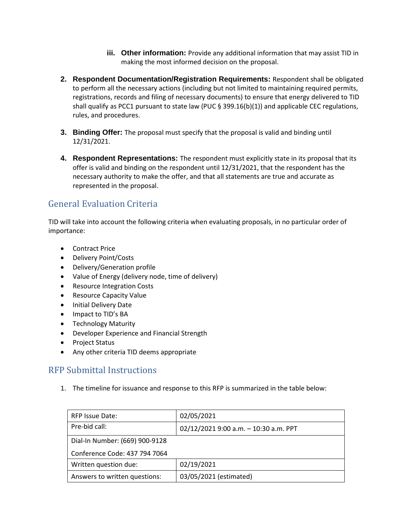- **iii. Other information:** Provide any additional information that may assist TID in making the most informed decision on the proposal.
- **2. Respondent Documentation/Registration Requirements:** Respondent shall be obligated to perform all the necessary actions (including but not limited to maintaining required permits, registrations, records and filing of necessary documents) to ensure that energy delivered to TID shall qualify as PCC1 pursuant to state law (PUC § 399.16(b)(1)) and applicable CEC regulations, rules, and procedures.
- **3. Binding Offer:** The proposal must specify that the proposal is valid and binding until 12/31/2021.
- **4. Respondent Representations:** The respondent must explicitly state in its proposal that its offer is valid and binding on the respondent until 12/31/2021, that the respondent has the necessary authority to make the offer, and that all statements are true and accurate as represented in the proposal.

# General Evaluation Criteria

TID will take into account the following criteria when evaluating proposals, in no particular order of importance:

- Contract Price
- Delivery Point/Costs
- Delivery/Generation profile
- Value of Energy (delivery node, time of delivery)
- Resource Integration Costs
- Resource Capacity Value
- Initial Delivery Date
- Impact to TID's BA
- Technology Maturity
- Developer Experience and Financial Strength
- Project Status
- Any other criteria TID deems appropriate

# RFP Submittal Instructions

1. The timeline for issuance and response to this RFP is summarized in the table below:

| <b>RFP Issue Date:</b>         | 02/05/2021                            |  |
|--------------------------------|---------------------------------------|--|
| Pre-bid call:                  | 02/12/2021 9:00 a.m. - 10:30 a.m. PPT |  |
| Dial-In Number: (669) 900-9128 |                                       |  |
| Conference Code: 437 794 7064  |                                       |  |
| Written question due:          | 02/19/2021                            |  |
| Answers to written questions:  | 03/05/2021 (estimated)                |  |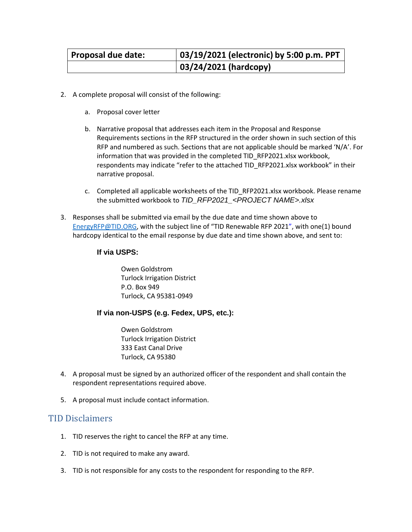| Proposal due date: | 03/19/2021 (electronic) by 5:00 p.m. PPT |
|--------------------|------------------------------------------|
|                    | 03/24/2021 (hardcopy)                    |

- 2. A complete proposal will consist of the following:
	- a. Proposal cover letter
	- b. Narrative proposal that addresses each item in the Proposal and Response Requirements sections in the RFP structured in the order shown in such section of this RFP and numbered as such. Sections that are not applicable should be marked 'N/A'. For information that was provided in the completed TID\_RFP2021.xlsx workbook, respondents may indicate "refer to the attached TID\_RFP2021.xlsx workbook" in their narrative proposal.
	- c. Completed all applicable worksheets of the TID\_RFP2021.xlsx workbook. Please rename the submitted workbook to *TID\_RFP2021\_<PROJECT NAME>.xlsx*
- 3. Responses shall be submitted via email by the due date and time shown above to [EnergyRFP@TID.ORG,](mailto:EnergyRFP@TID.ORG) with the subject line of "TID Renewable RFP 2021", with one(1) bound hardcopy identical to the email response by due date and time shown above, and sent to:

#### **If via USPS:**

Owen Goldstrom Turlock Irrigation District P.O. Box 949 Turlock, CA 95381-0949

#### **If via non-USPS (e.g. Fedex, UPS, etc.):**

Owen Goldstrom Turlock Irrigation District 333 East Canal Drive Turlock, CA 95380

- 4. A proposal must be signed by an authorized officer of the respondent and shall contain the respondent representations required above.
- 5. A proposal must include contact information.

### TID Disclaimers

- 1. TID reserves the right to cancel the RFP at any time.
- 2. TID is not required to make any award.
- 3. TID is not responsible for any costs to the respondent for responding to the RFP.